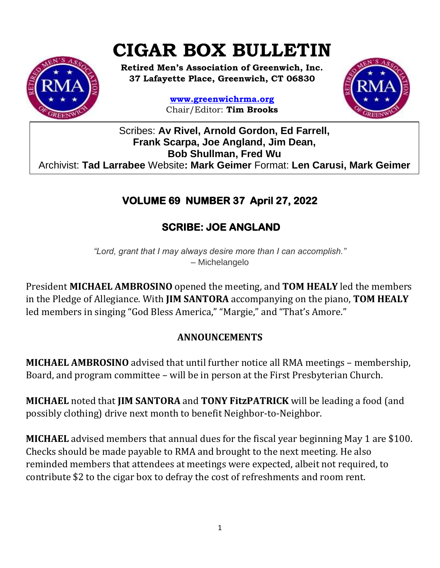# **CIGAR BOX BULLETIN**



**Retired Men's Association of Greenwich, Inc. 37 Lafayette Place, Greenwich, CT 06830**

> **www.greenwichrma.org** Chair/Editor: **Tim Brooks**



Scribes: **Av Rivel, Arnold Gordon, Ed Farrell, Frank Scarpa, Joe Angland, Jim Dean, Bob Shullman, Fred Wu** Archivist: **Tad Larrabee** Website**: Mark Geimer** Format: **Len Carusi, Mark Geimer c**

# **VOLUME 69 NUMBER 37 April 27, 2022**

# **SCRIBE: JOE ANGLAND**

*"Lord, grant that I may always desire more than I can accomplish."* – Michelangelo

President **MICHAEL AMBROSINO** opened the meeting, and **TOM HEALY** led the members in the Pledge of Allegiance. With **JIM SANTORA** accompanying on the piano, **TOM HEALY**  led members in singing "God Bless America," "Margie," and "That's Amore."

# **ANNOUNCEMENTS**

**MICHAEL AMBROSINO** advised that until further notice all RMA meetings – membership, Board, and program committee – will be in person at the First Presbyterian Church.

**MICHAEL** noted that **JIM SANTORA** and **TONY FitzPATRICK** will be leading a food (and possibly clothing) drive next month to benefit Neighbor-to-Neighbor.

**MICHAEL** advised members that annual dues for the fiscal year beginning May 1 are \$100. Checks should be made payable to RMA and brought to the next meeting. He also reminded members that attendees at meetings were expected, albeit not required, to contribute \$2 to the cigar box to defray the cost of refreshments and room rent.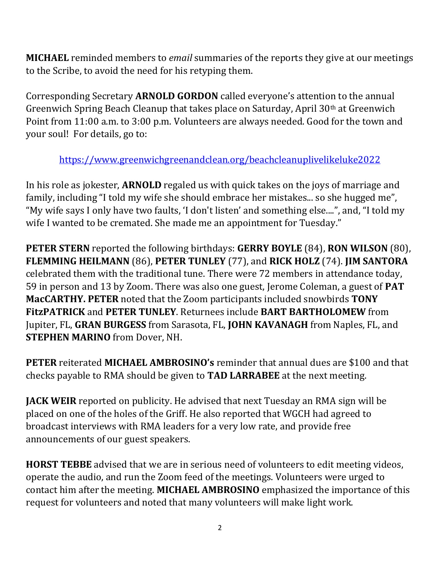**MICHAEL** reminded members to *email* summaries of the reports they give at our meetings to the Scribe, to avoid the need for his retyping them.

Corresponding Secretary **ARNOLD GORDON** called everyone's attention to the annual Greenwich Spring Beach Cleanup that takes place on Saturday, April 30th at Greenwich Point from 11:00 a.m. to 3:00 p.m. Volunteers are always needed. Good for the town and your soul! For details, go to:

<https://www.greenwichgreenandclean.org/beachcleanuplivelikeluke2022>

In his role as jokester, **ARNOLD** regaled us with quick takes on the joys of marriage and family, including "I told my wife she should embrace her mistakes... so she hugged me", "My wife says I only have two faults, 'I don't listen' and something else....", and, "I told my wife I wanted to be cremated. She made me an appointment for Tuesday."

**PETER STERN** reported the following birthdays: **GERRY BOYLE** (84), **RON WILSON** (80), **FLEMMING HEILMANN** (86), **PETER TUNLEY** (77), and **RICK HOLZ** (74). **JIM SANTORA**  celebrated them with the traditional tune. There were 72 members in attendance today, 59 in person and 13 by Zoom. There was also one guest, Jerome Coleman, a guest of **PAT MacCARTHY. PETER** noted that the Zoom participants included snowbirds **TONY FitzPATRICK** and **PETER TUNLEY**. Returnees include **BART BARTHOLOMEW** from Jupiter, FL, **GRAN BURGESS** from Sarasota, FL, **JOHN KAVANAGH** from Naples, FL, and **STEPHEN MARINO** from Dover, NH.

**PETER** reiterated **MICHAEL AMBROSINO's** reminder that annual dues are \$100 and that checks payable to RMA should be given to **TAD LARRABEE** at the next meeting.

**JACK WEIR** reported on publicity. He advised that next Tuesday an RMA sign will be placed on one of the holes of the Griff. He also reported that WGCH had agreed to broadcast interviews with RMA leaders for a very low rate, and provide free announcements of our guest speakers.

**HORST TEBBE** advised that we are in serious need of volunteers to edit meeting videos, operate the audio, and run the Zoom feed of the meetings. Volunteers were urged to contact him after the meeting. **MICHAEL AMBROSINO** emphasized the importance of this request for volunteers and noted that many volunteers will make light work.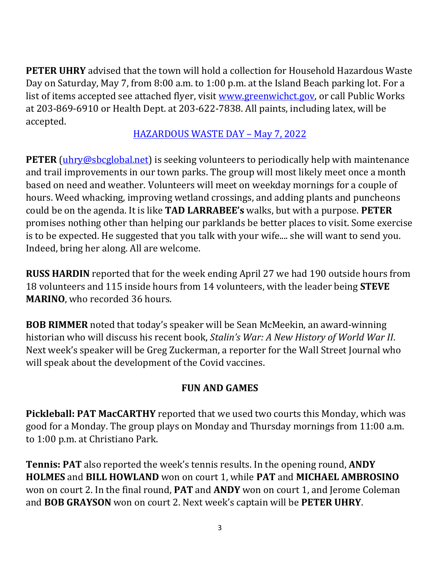**PETER UHRY** advised that the town will hold a collection for Household Hazardous Waste Day on Saturday, May 7, from 8:00 a.m. to 1:00 p.m. at the Island Beach parking lot. For a list of items accepted see attached flyer, visit [www.greenwichct.gov,](http://www.greenwichct.gov/) or call Public Works at 203-869-6910 or Health Dept. at 203-622-7838. All paints, including latex, will be accepted.

[HAZARDOUS WASTE DAY](https://mcusercontent.com/053716f9c54f7992fd5ff0675/files/890f1747-37b8-678d-1d97-37ad447211c1/Hazmats_Info_0507_2022.pdf) – May 7, 2022

**PETER** [\(uhry@sbcglobal.net\)](mailto:uhry@sbcglobal.net) is seeking volunteers to periodically help with maintenance and trail improvements in our town parks. The group will most likely meet once a month based on need and weather. Volunteers will meet on weekday mornings for a couple of hours. Weed whacking, improving wetland crossings, and adding plants and puncheons could be on the agenda. It is like **TAD LARRABEE's** walks, but with a purpose. **PETER** promises nothing other than helping our parklands be better places to visit. Some exercise is to be expected. He suggested that you talk with your wife.... she will want to send you. Indeed, bring her along. All are welcome.

**RUSS HARDIN** reported that for the week ending April 27 we had 190 outside hours from 18 volunteers and 115 inside hours from 14 volunteers, with the leader being **STEVE MARINO**, who recorded 36 hours.

**BOB RIMMER** noted that today's speaker will be Sean McMeekin, an award-winning historian who will discuss his recent book, *Stalin's War: A New History of World War II*. Next week's speaker will be Greg Zuckerman, a reporter for the Wall Street Journal who will speak about the development of the Covid vaccines.

#### **FUN AND GAMES**

**Pickleball: PAT MacCARTHY** reported that we used two courts this Monday, which was good for a Monday. The group plays on Monday and Thursday mornings from 11:00 a.m. to 1:00 p.m. at Christiano Park.

**Tennis: PAT** also reported the week's tennis results. In the opening round, **ANDY HOLMES** and **BILL HOWLAND** won on court 1, while **PAT** and **MICHAEL AMBROSINO** won on court 2. In the final round, **PAT** and **ANDY** won on court 1, and Jerome Coleman and **BOB GRAYSON** won on court 2. Next week's captain will be **PETER UHRY**.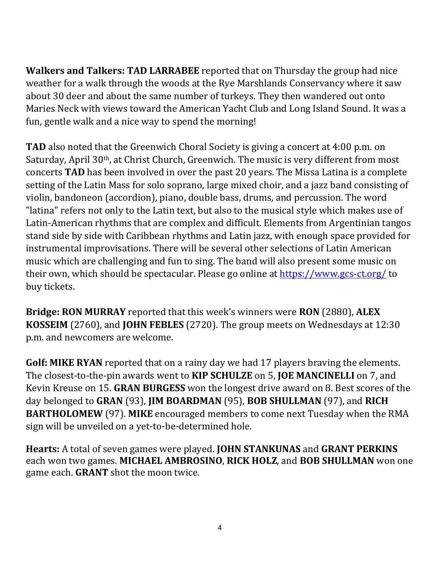**Walkers and Talkers: TAD LARRABEE** reported that on Thursday the group had nice weather for a walk through the woods at the Rye Marshlands Conservancy where it saw about 30 deer and about the same number of turkeys. They then wandered out onto Maries Neck with views toward the American Yacht Club and Long Island Sound. It was a fun, gentle walk and a nice way to spend the morning!

**TAD** also noted that the Greenwich Choral Society is giving a concert at 4:00 p.m. on Saturday, April 30th, at Christ Church, Greenwich. The music is very different from most concerts **TAD** has been involved in over the past 20 years. The Missa Latina is a complete setting of the Latin Mass for solo soprano, large mixed choir, and a jazz band consisting of violin, bandoneon (accordion), piano, double bass, drums, and percussion. The word "latina" refers not only to the Latin text, but also to the musical style which makes use of Latin-American rhythms that are complex and difficult. Elements from Argentinian tangos stand side by side with Caribbean rhythms and Latin jazz, with enough space provided for instrumental improvisations. There will be several other selections of Latin American music which are challenging and fun to sing. The band will also present some music on their own, which should be spectacular. Please go online at<https://www.gcs-ct.org/> to buy tickets.

**Bridge: RON MURRAY** reported that this week's winners were **RON** (2880), **ALEX KOSSEIM** (2760), and **JOHN FEBLES** (2720). The group meets on Wednesdays at 12:30 p.m. and newcomers are welcome.

**Golf: MIKE RYAN** reported that on a rainy day we had 17 players braving the elements. The closest-to-the-pin awards went to **KIP SCHULZE** on 5, **JOE MANCINELLI** on 7, and Kevin Kreuse on 15. **GRAN BURGESS** won the longest drive award on 8. Best scores of the day belonged to **GRAN** (93), **JIM BOARDMAN** (95), **BOB SHULLMAN** (97), and **RICH BARTHOLOMEW** (97). **MIKE** encouraged members to come next Tuesday when the RMA sign will be unveiled on a yet-to-be-determined hole.

**Hearts:** A total of seven games were played. **JOHN STANKUNAS** and **GRANT PERKINS**  each won two games. **MICHAEL AMBROSINO**, **RICK HOLZ**, and **BOB SHULLMAN** won one game each. **GRANT** shot the moon twice.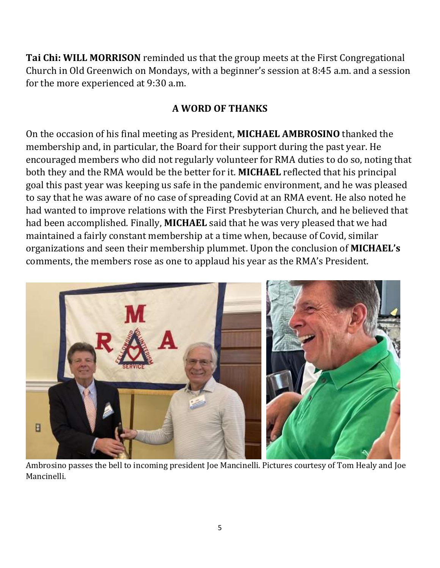**Tai Chi: WILL MORRISON** reminded us that the group meets at the First Congregational Church in Old Greenwich on Mondays, with a beginner's session at 8:45 a.m. and a session for the more experienced at 9:30 a.m.

#### **A WORD OF THANKS**

On the occasion of his final meeting as President, **MICHAEL AMBROSINO** thanked the membership and, in particular, the Board for their support during the past year. He encouraged members who did not regularly volunteer for RMA duties to do so, noting that both they and the RMA would be the better for it. **MICHAEL** reflected that his principal goal this past year was keeping us safe in the pandemic environment, and he was pleased to say that he was aware of no case of spreading Covid at an RMA event. He also noted he had wanted to improve relations with the First Presbyterian Church, and he believed that had been accomplished. Finally, **MICHAEL** said that he was very pleased that we had maintained a fairly constant membership at a time when, because of Covid, similar organizations and seen their membership plummet. Upon the conclusion of **MICHAEL's**  comments, the members rose as one to applaud his year as the RMA's President.



Ambrosino passes the bell to incoming president Joe Mancinelli. Pictures courtesy of Tom Healy and Joe Mancinelli.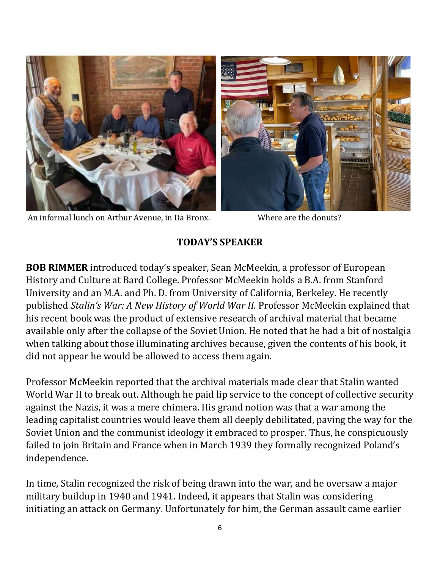

An informal lunch on Arthur Avenue, in Da Bronx. Where are the donuts?

## **TODAY'S SPEAKER**

**BOB RIMMER** introduced today's speaker, Sean McMeekin, a professor of European History and Culture at Bard College. Professor McMeekin holds a B.A. from Stanford University and an M.A. and Ph. D. from University of California, Berkeley. He recently published *Stalin's War: A New History of World War II*. Professor McMeekin explained that his recent book was the product of extensive research of archival material that became available only after the collapse of the Soviet Union. He noted that he had a bit of nostalgia when talking about those illuminating archives because, given the contents of his book, it did not appear he would be allowed to access them again.

Professor McMeekin reported that the archival materials made clear that Stalin wanted World War II to break out. Although he paid lip service to the concept of collective security against the Nazis, it was a mere chimera. His grand notion was that a war among the leading capitalist countries would leave them all deeply debilitated, paving the way for the Soviet Union and the communist ideology it embraced to prosper. Thus, he conspicuously failed to join Britain and France when in March 1939 they formally recognized Poland's independence.

In time, Stalin recognized the risk of being drawn into the war, and he oversaw a major military buildup in 1940 and 1941. Indeed, it appears that Stalin was considering initiating an attack on Germany. Unfortunately for him, the German assault came earlier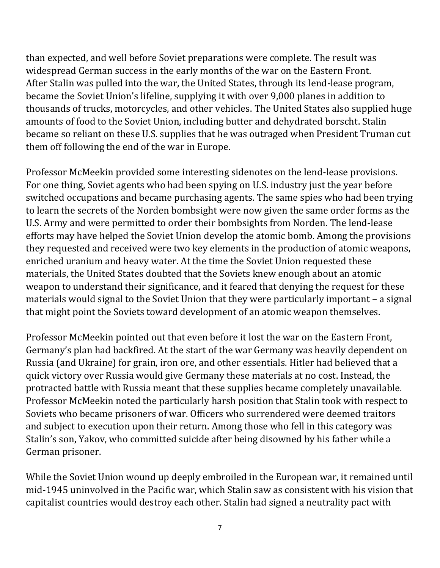than expected, and well before Soviet preparations were complete. The result was widespread German success in the early months of the war on the Eastern Front. After Stalin was pulled into the war, the United States, through its lend-lease program, became the Soviet Union's lifeline, supplying it with over 9,000 planes in addition to thousands of trucks, motorcycles, and other vehicles. The United States also supplied huge amounts of food to the Soviet Union, including butter and dehydrated borscht. Stalin became so reliant on these U.S. supplies that he was outraged when President Truman cut them off following the end of the war in Europe.

Professor McMeekin provided some interesting sidenotes on the lend-lease provisions. For one thing, Soviet agents who had been spying on U.S. industry just the year before switched occupations and became purchasing agents. The same spies who had been trying to learn the secrets of the Norden bombsight were now given the same order forms as the U.S. Army and were permitted to order their bombsights from Norden. The lend-lease efforts may have helped the Soviet Union develop the atomic bomb. Among the provisions they requested and received were two key elements in the production of atomic weapons, enriched uranium and heavy water. At the time the Soviet Union requested these materials, the United States doubted that the Soviets knew enough about an atomic weapon to understand their significance, and it feared that denying the request for these materials would signal to the Soviet Union that they were particularly important – a signal that might point the Soviets toward development of an atomic weapon themselves.

Professor McMeekin pointed out that even before it lost the war on the Eastern Front, Germany's plan had backfired. At the start of the war Germany was heavily dependent on Russia (and Ukraine) for grain, iron ore, and other essentials. Hitler had believed that a quick victory over Russia would give Germany these materials at no cost. Instead, the protracted battle with Russia meant that these supplies became completely unavailable. Professor McMeekin noted the particularly harsh position that Stalin took with respect to Soviets who became prisoners of war. Officers who surrendered were deemed traitors and subject to execution upon their return. Among those who fell in this category was Stalin's son, Yakov, who committed suicide after being disowned by his father while a German prisoner.

While the Soviet Union wound up deeply embroiled in the European war, it remained until mid-1945 uninvolved in the Pacific war, which Stalin saw as consistent with his vision that capitalist countries would destroy each other. Stalin had signed a neutrality pact with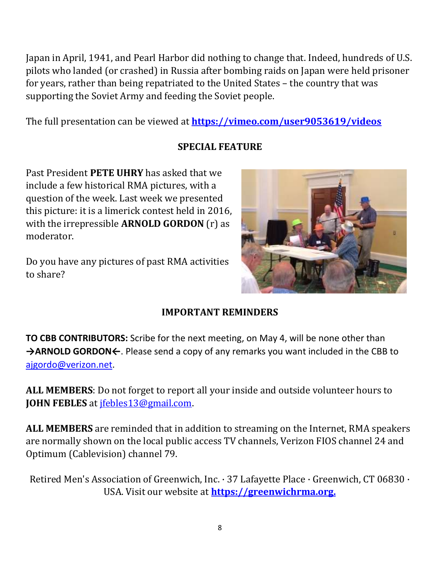Japan in April, 1941, and Pearl Harbor did nothing to change that. Indeed, hundreds of U.S. pilots who landed (or crashed) in Russia after bombing raids on Japan were held prisoner for years, rather than being repatriated to the United States – the country that was supporting the Soviet Army and feeding the Soviet people.

The full presentation can be viewed at **<https://vimeo.com/user9053619/videos>**

## **SPECIAL FEATURE**

Past President **PETE UHRY** has asked that we include a few historical RMA pictures, with a question of the week. Last week we presented this picture: it is a limerick contest held in 2016, with the irrepressible **ARNOLD GORDON** (r) as moderator.

Do you have any pictures of past RMA activities to share?



## **IMPORTANT REMINDERS**

**TO CBB CONTRIBUTORS:** Scribe for the next meeting, on May 4, will be none other than **→ARNOLD GORDON←**. Please send a copy of any remarks you want included in the CBB to [ajgordo@verizon.net.](mailto:ajgordo@verizon.net)

**ALL MEMBERS**: Do not forget to report all your inside and outside volunteer hours to **JOHN FEBLES** at [jfebles13@gmail.com.](mailto:jfebles13@gmail.com)

**ALL MEMBERS** are reminded that in addition to streaming on the Internet, RMA speakers are normally shown on the local public access TV channels, Verizon FIOS channel 24 and Optimum (Cablevision) channel 79.

Retired Men's Association of Greenwich, Inc. · 37 Lafayette Place · Greenwich, CT 06830 · USA. Visit our website at **[https://greenwichrma.org.](https://greenwichrma.org/)**